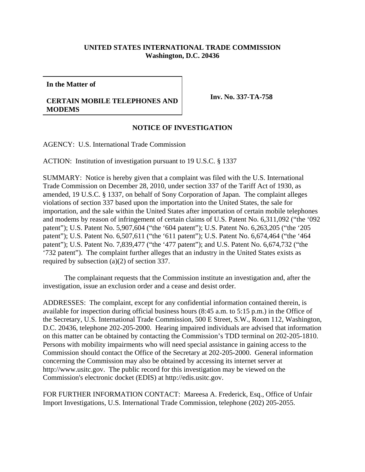## **UNITED STATES INTERNATIONAL TRADE COMMISSION Washington, D.C. 20436**

**In the Matter of**

## **CERTAIN MOBILE TELEPHONES AND MODEMS**

**Inv. No. 337-TA-758**

## **NOTICE OF INVESTIGATION**

AGENCY: U.S. International Trade Commission

ACTION: Institution of investigation pursuant to 19 U.S.C. § 1337

SUMMARY: Notice is hereby given that a complaint was filed with the U.S. International Trade Commission on December 28, 2010, under section 337 of the Tariff Act of 1930, as amended, 19 U.S.C. § 1337, on behalf of Sony Corporation of Japan. The complaint alleges violations of section 337 based upon the importation into the United States, the sale for importation, and the sale within the United States after importation of certain mobile telephones and modems by reason of infringement of certain claims of U.S. Patent No. 6,311,092 ("the '092 patent"); U.S. Patent No. 5,907,604 ("the '604 patent"); U.S. Patent No. 6,263,205 ("the '205 patent"); U.S. Patent No. 6,507,611 ("the '611 patent"); U.S. Patent No. 6,674,464 ("the '464 patent"); U.S. Patent No. 7,839,477 ("the '477 patent"); and U.S. Patent No. 6,674,732 ("the '732 patent"). The complaint further alleges that an industry in the United States exists as required by subsection (a)(2) of section 337.

The complainant requests that the Commission institute an investigation and, after the investigation, issue an exclusion order and a cease and desist order.

ADDRESSES: The complaint, except for any confidential information contained therein, is available for inspection during official business hours (8:45 a.m. to 5:15 p.m.) in the Office of the Secretary, U.S. International Trade Commission, 500 E Street, S.W., Room 112, Washington, D.C. 20436, telephone 202-205-2000. Hearing impaired individuals are advised that information on this matter can be obtained by contacting the Commission's TDD terminal on 202-205-1810. Persons with mobility impairments who will need special assistance in gaining access to the Commission should contact the Office of the Secretary at 202-205-2000. General information concerning the Commission may also be obtained by accessing its internet server at http://www.usitc.gov. The public record for this investigation may be viewed on the Commission's electronic docket (EDIS) at http://edis.usitc.gov.

FOR FURTHER INFORMATION CONTACT: Mareesa A. Frederick, Esq., Office of Unfair Import Investigations, U.S. International Trade Commission, telephone (202) 205-2055.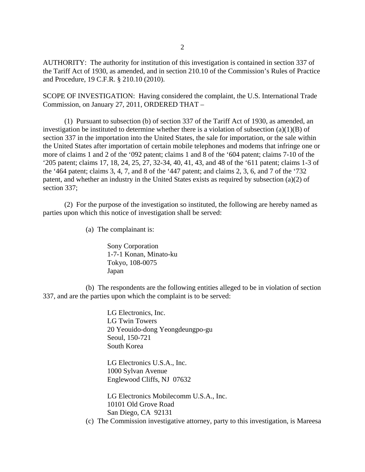AUTHORITY: The authority for institution of this investigation is contained in section 337 of the Tariff Act of 1930, as amended, and in section 210.10 of the Commission's Rules of Practice and Procedure, 19 C.F.R. § 210.10 (2010).

SCOPE OF INVESTIGATION: Having considered the complaint, the U.S. International Trade Commission, on January 27, 2011, ORDERED THAT –

(1) Pursuant to subsection (b) of section 337 of the Tariff Act of 1930, as amended, an investigation be instituted to determine whether there is a violation of subsection  $(a)(1)(B)$  of section 337 in the importation into the United States, the sale for importation, or the sale within the United States after importation of certain mobile telephones and modems that infringe one or more of claims 1 and 2 of the '092 patent; claims 1 and 8 of the '604 patent; claims 7-10 of the '205 patent; claims 17, 18, 24, 25, 27, 32-34, 40, 41, 43, and 48 of the '611 patent; claims 1-3 of the '464 patent; claims 3, 4, 7, and 8 of the '447 patent; and claims 2, 3, 6, and 7 of the '732 patent, and whether an industry in the United States exists as required by subsection (a)(2) of section 337;

(2) For the purpose of the investigation so instituted, the following are hereby named as parties upon which this notice of investigation shall be served:

(a) The complainant is:

Sony Corporation 1-7-1 Konan, Minato-ku Tokyo, 108-0075 Japan

(b) The respondents are the following entities alleged to be in violation of section 337, and are the parties upon which the complaint is to be served:

> LG Electronics, Inc. LG Twin Towers 20 Yeouido-dong Yeongdeungpo-gu Seoul, 150-721 South Korea

LG Electronics U.S.A., Inc. 1000 Sylvan Avenue Englewood Cliffs, NJ 07632

LG Electronics Mobilecomm U.S.A., Inc. 10101 Old Grove Road San Diego, CA 92131

(c) The Commission investigative attorney, party to this investigation, is Mareesa